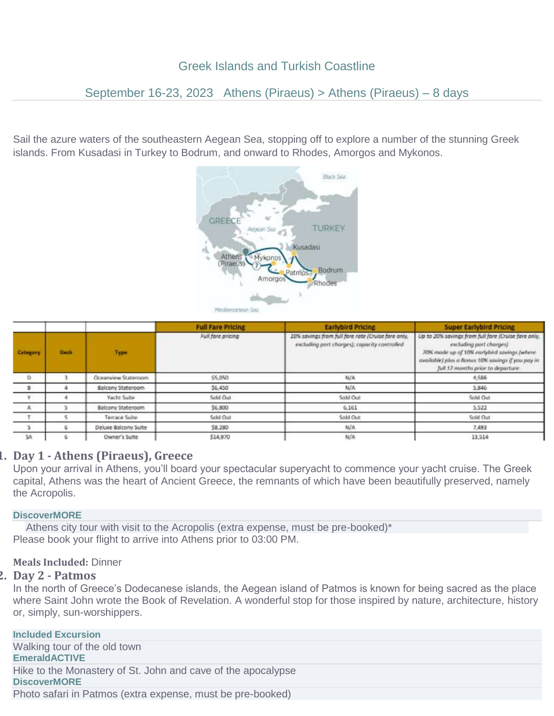# Greek Islands and Turkish Coastline

# September 16-23, 2023 Athens (Piraeus) > Athens (Piraeus) – 8 days

Sail the azure waters of the southeastern Aegean Sea, stopping off to explore a number of the stunning Greek islands. From Kusadasi in Turkey to Bodrum, and onward to Rhodes, Amorgos and Mykonos.



|                 |             |                      | <b>Full Fare Pricing</b> | <b>Earlybird Pricing</b>                                                                           | <b>Super Earlybird Pricing</b>                                                                                                                                                                                           |
|-----------------|-------------|----------------------|--------------------------|----------------------------------------------------------------------------------------------------|--------------------------------------------------------------------------------------------------------------------------------------------------------------------------------------------------------------------------|
| <b>Catagory</b> | <b>Duck</b> | Type                 | Full fare pricing        | 10% savings from full fare rate /Cruise fare anly,<br>excluding port charges); capacity controlled | Up to 20% sawings from full fore (Cruise fare only,<br>excluding port charges)<br>20% mode up of 10% earlybird savings (where<br>available) plus a Bonus 10% savings if you pay in<br>full 12 months prior to departure. |
| D.              |             | Oceanview Stateroom  | \$5,050                  | N/A                                                                                                | 4,586                                                                                                                                                                                                                    |
| - 8             |             | Balcony Stateroom    | 56,450                   | N/A                                                                                                | 5.846                                                                                                                                                                                                                    |
| v               |             | Yacht Suite          | Sold Out                 | Sold Out                                                                                           | Sold Out                                                                                                                                                                                                                 |
| A               |             | Balcony Stateroom    | \$6,800                  | 6,161                                                                                              | 5,522                                                                                                                                                                                                                    |
| T               |             | Terrace Suite        | Sold Out                 | Sold Out                                                                                           | Sold Out                                                                                                                                                                                                                 |
| 5               |             | Deluxe Balcony Suite | \$8,280                  | N/A                                                                                                | 7,493                                                                                                                                                                                                                    |
| SA              |             | Owner's Suite        | \$14,970                 | N/A                                                                                                | 13,514                                                                                                                                                                                                                   |

## **1. Day 1 - Athens (Piraeus), Greece**

Upon your arrival in Athens, you'll board your spectacular superyacht to commence your yacht cruise. The Greek capital, Athens was the heart of Ancient Greece, the remnants of which have been beautifully preserved, namely the Acropolis.

## **DiscoverMORE**

Athens city tour with visit to the Acropolis (extra expense, must be pre-booked)\* Please book your flight to arrive into Athens prior to 03:00 PM.

## **Meals Included:** Dinner

### **2. Day 2 - Patmos**

In the north of Greece's Dodecanese islands, the Aegean island of Patmos is known for being sacred as the place where Saint John wrote the Book of Revelation. A wonderful stop for those inspired by nature, architecture, history or, simply, sun-worshippers.

**Included Excursion** Walking tour of the old town **EmeraldACTIVE** Hike to the Monastery of St. John and cave of the apocalypse **DiscoverMORE** Photo safari in Patmos (extra expense, must be pre-booked)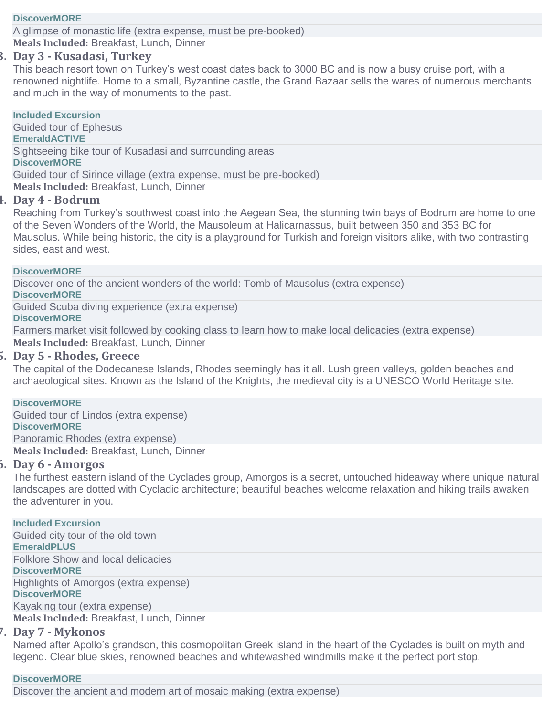## **DiscoverMORE**

A glimpse of monastic life (extra expense, must be pre-booked) **Meals Included:** Breakfast, Lunch, Dinner

## **3. Day 3 - Kusadasi, Turkey**

This beach resort town on Turkey's west coast dates back to 3000 BC and is now a busy cruise port, with a renowned nightlife. Home to a small, Byzantine castle, the Grand Bazaar sells the wares of numerous merchants and much in the way of monuments to the past.

**Included Excursion** Guided tour of Ephesus **EmeraldACTIVE** Sightseeing bike tour of Kusadasi and surrounding areas **DiscoverMORE** Guided tour of Sirince village (extra expense, must be pre-booked) **Meals Included:** Breakfast, Lunch, Dinner

## **4. Day 4 - Bodrum**

Reaching from Turkey's southwest coast into the Aegean Sea, the stunning twin bays of Bodrum are home to one of the Seven Wonders of the World, the Mausoleum at Halicarnassus, built between 350 and 353 BC for Mausolus. While being historic, the city is a playground for Turkish and foreign visitors alike, with two contrasting sides, east and west.

### **DiscoverMORE**

Discover one of the ancient wonders of the world: Tomb of Mausolus (extra expense)

**DiscoverMORE**

Guided Scuba diving experience (extra expense)

## **DiscoverMORE**

Farmers market visit followed by cooking class to learn how to make local delicacies (extra expense) **Meals Included:** Breakfast, Lunch, Dinner

## **5. Day 5 - Rhodes, Greece**

The capital of the Dodecanese Islands, Rhodes seemingly has it all. Lush green valleys, golden beaches and archaeological sites. Known as the Island of the Knights, the medieval city is a UNESCO World Heritage site.

#### **DiscoverMORE**

Guided tour of Lindos (extra expense) **DiscoverMORE** Panoramic Rhodes (extra expense)

**Meals Included:** Breakfast, Lunch, Dinner

### **6. Day 6 - Amorgos**

The furthest eastern island of the Cyclades group, Amorgos is a secret, untouched hideaway where unique natural landscapes are dotted with Cycladic architecture; beautiful beaches welcome relaxation and hiking trails awaken the adventurer in you.

## **Included Excursion**

Guided city tour of the old town **EmeraldPLUS** Folklore Show and local delicacies **DiscoverMORE** Highlights of Amorgos (extra expense) **DiscoverMORE** Kayaking tour (extra expense)

**Meals Included:** Breakfast, Lunch, Dinner

## **7. Day 7 - Mykonos**

Named after Apollo's grandson, this cosmopolitan Greek island in the heart of the Cyclades is built on myth and legend. Clear blue skies, renowned beaches and whitewashed windmills make it the perfect port stop.

## **DiscoverMORE**

Discover the ancient and modern art of mosaic making (extra expense)